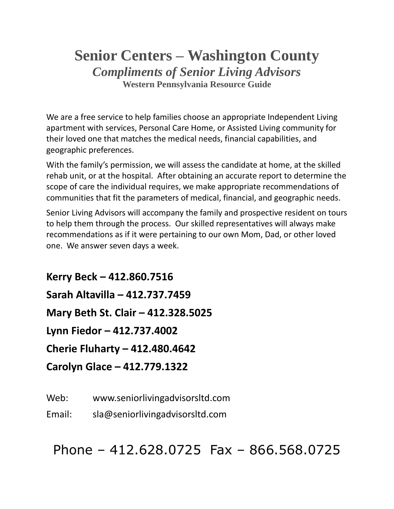# **Senior Centers – Washington County** *Compliments of Senior Living Advisors* **Western Pennsylvania Resource Guide**

We are a free service to help families choose an appropriate Independent Living apartment with services, Personal Care Home, or Assisted Living community for their loved one that matches the medical needs, financial capabilities, and geographic preferences.

With the family's permission, we will assess the candidate at home, at the skilled rehab unit, or at the hospital. After obtaining an accurate report to determine the scope of care the individual requires, we make appropriate recommendations of communities that fit the parameters of medical, financial, and geographic needs.

Senior Living Advisors will accompany the family and prospective resident on tours to help them through the process. Our skilled representatives will always make recommendations as if it were pertaining to our own Mom, Dad, or other loved one. We answer seven days a week.

**Kerry Beck – 412.860.7516 Sarah Altavilla – 412.737.7459 Mary Beth St. Clair – 412.328.5025 Lynn Fiedor – 412.737.4002 Cherie Fluharty – 412.480.4642 Carolyn Glace – 412.779.1322**

Web: www.seniorlivingadvisorsltd.com

Email: sla@seniorlivingadvisorsltd.com

Phone – 412.628.0725 Fax – 866.568.0725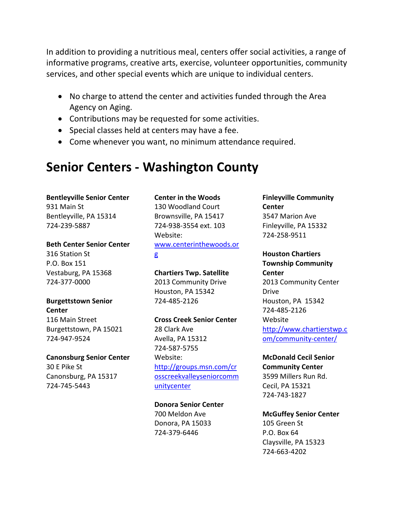In addition to providing a nutritious meal, centers offer social activities, a range of informative programs, creative arts, exercise, volunteer opportunities, community services, and other special events which are unique to individual centers.

- No charge to attend the center and activities funded through the Area Agency on Aging.
- Contributions may be requested for some activities.
- Special classes held at centers may have a fee.
- Come whenever you want, no minimum attendance required.

# **Senior Centers - Washington County**

**Bentleyville Senior Center** 931 Main St

Bentleyville, PA 15314 724-239-5887

### **Beth Center Senior Center**

316 Station St P.O. Box 151 Vestaburg, PA 15368 724-377-0000

### **Burgettstown Senior Center**

116 Main Street Burgettstown, PA 15021 724-947-9524

**Canonsburg Senior Center** 30 E Pike St Canonsburg, PA 15317 724-745-5443

### **Center in the Woods**

130 Woodland Court Brownsville, PA 15417 724-938-3554 ext. 103 Website: [www.centerinthewoods.or](http://www.centerinthewoods.org/) [g](http://www.centerinthewoods.org/)

### **Chartiers Twp. Satellite**

2013 Community Drive Houston, PA 15342 724-485-2126

**Cross Creek Senior Center** 28 Clark Ave Avella, PA 15312 724-587-5755 Website: [http://groups.msn.com/cr](http://groups.msn.com/crosscreekvalleyseniorcommunitycenter) [osscreekvalleyseniorcomm](http://groups.msn.com/crosscreekvalleyseniorcommunitycenter) [unitycenter](http://groups.msn.com/crosscreekvalleyseniorcommunitycenter)

**Donora Senior Center** 700 Meldon Ave

Donora, PA 15033 724-379-6446

### **Finleyville Community Center** 3547 Marion Ave Finleyville, PA 15332 724-258-9511

## **Houston Chartiers**

**Township Community Center** 2013 Community Center Drive Houston, PA 15342 724-485-2126 Website [http://www.chartierstwp.c](http://www.chartierstwp.com/community-center/) [om/community-center/](http://www.chartierstwp.com/community-center/)

### **McDonald Cecil Senior Community Center**

3599 Millers Run Rd. Cecil, PA 15321 724-743-1827

**McGuffey Senior Center** 105 Green St P.O. Box 64 Claysville, PA 15323 724-663-4202